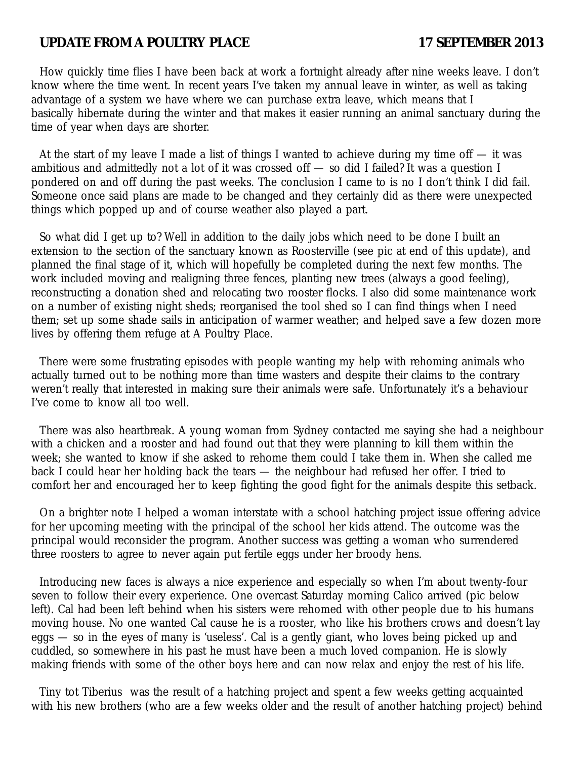# UPDATE FROM A POULTRY PLACE 17 SEPTEMBER 2013

How quickly time flies I have been back at work a fortnight already after nine weeks leave. I don't know where the time went. In recent years I've taken my annual leave in winter, as well as taking advantage of a system we have where we can purchase extra leave, which means that I basically hibernate during the winter and that makes it easier running an animal sanctuary during the time of year when days are shorter.

At the start of my leave I made a list of things I wanted to achieve during my time of  $-$  it was ambitious and admittedly not a lot of it was crossed off — so did I failed? It was a question I pondered on and off during the past weeks. The conclusion I came to is no I don't think I did fail. Someone once said plans are made to be changed and they certainly did as there were unexpected things which popped up and of course weather also played a part.

So what did I get up to? Well in addition to the daily jobs which need to be done I built an extension to the section of the sanctuary known as Roosterville (see pic at end of this update), and planned the final stage of it, which will hopefully be completed during the next few months. The work included moving and realigning three fences, planting new trees (always a good feeling), reconstructing a donation shed and relocating two rooster flocks. I also did some maintenance work on a number of existing night sheds; reorganised the tool shed so I can find things when I need them; set up some shade sails in anticipation of warmer weather; and helped save a few dozen more lives by offering them refuge at A Poultry Place.

There were some frustrating episodes with people wanting my help with rehoming animals who actually turned out to be nothing more than time wasters and despite their claims to the contrary weren't really that interested in making sure their animals were safe. Unfortunately it's a behaviour I've come to know all too well.

There was also heartbreak. A young woman from Sydney contacted me saying she had a neighbour with a chicken and a rooster and had found out that they were planning to kill them within the week; she wanted to know if she asked to rehome them could I take them in. When she called me back I could hear her holding back the tears — the neighbour had refused her offer. I tried to comfort her and encouraged her to keep fighting the good fight for the animals despite this setback.

On a brighter note I helped a woman interstate with a school hatching project issue offering advice for her upcoming meeting with the principal of the school her kids attend. The outcome was the principal would reconsider the program. Another success was getting a woman who surrendered three roosters to agree to never again put fertile eggs under her broody hens.

Introducing new faces is always a nice experience and especially so when I'm about twenty-four seven to follow their every experience. One overcast Saturday morning Calico arrived (pic below left). Cal had been left behind when his sisters were rehomed with other people due to his humans moving house. No one wanted Cal cause he is a rooster, who like his brothers crows and doesn't lay eggs — so in the eyes of many is 'useless'. Cal is a gently giant, who loves being picked up and cuddled, so somewhere in his past he must have been a much loved companion. He is slowly making friends with some of the other boys here and can now relax and enjoy the rest of his life.

Tiny tot Tiberius was the result of a hatching project and spent a few weeks getting acquainted with his new brothers (who are a few weeks older and the result of another hatching project) behind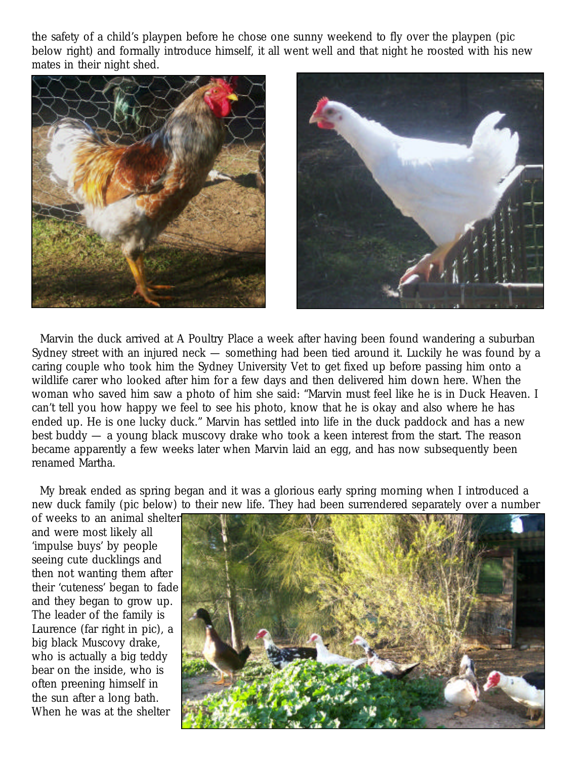the safety of a child's playpen before he chose one sunny weekend to fly over the playpen (pic below right) and formally introduce himself, it all went well and that night he roosted with his new mates in their night shed.





Marvin the duck arrived at A Poultry Place a week after having been found wandering a suburban Sydney street with an injured neck — something had been tied around it. Luckily he was found by a caring couple who took him the Sydney University Vet to get fixed up before passing him onto a wildlife carer who looked after him for a few days and then delivered him down here. When the woman who saved him saw a photo of him she said: "Marvin must feel like he is in Duck Heaven. I can't tell you how happy we feel to see his photo, know that he is okay and also where he has ended up. He is one lucky duck." Marvin has settled into life in the duck paddock and has a new best buddy — a young black muscovy drake who took a keen interest from the start. The reason became apparently a few weeks later when Marvin laid an egg, and has now subsequently been renamed Martha.

My break ended as spring began and it was a glorious early spring morning when I introduced a new duck family (pic below) to their new life. They had been surrendered separately over a number

of weeks to an animal shelter and were most likely all 'impulse buys' by people seeing cute ducklings and then not wanting them after their 'cuteness' began to fade and they began to grow up. The leader of the family is Laurence (far right in pic), a big black Muscovy drake, who is actually a big teddy bear on the inside, who is often preening himself in the sun after a long bath. When he was at the shelter